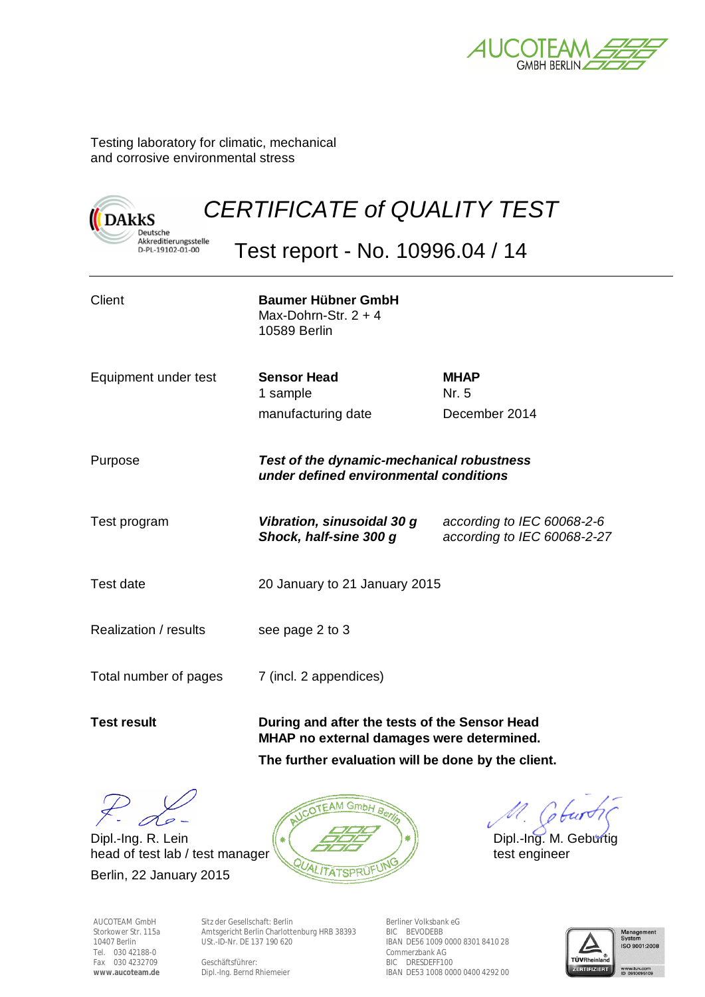

Testing laboratory for climatic, mechanical and corrosive environmental stress

**DAkkS** 

Deutsche

# *CERTIFICATE of QUALITY TEST*  Deutsche<br>Akkreditierungsstelle<br>D-PL-19102-01-00

Test report - No. 10996.04 / 14

| Client                | <b>Baumer Hübner GmbH</b><br>Max-Dohrn-Str, $2 + 4$<br>10589 Berlin                        |                                                           |  |  |
|-----------------------|--------------------------------------------------------------------------------------------|-----------------------------------------------------------|--|--|
| Equipment under test  | <b>Sensor Head</b><br>1 sample                                                             | <b>MHAP</b><br>Nr. 5                                      |  |  |
|                       | manufacturing date                                                                         | December 2014                                             |  |  |
| Purpose               | <b>Test of the dynamic-mechanical robustness</b><br>under defined environmental conditions |                                                           |  |  |
| Test program          | Vibration, sinusoidal 30 g<br>Shock, half-sine 300 g                                       | according to IEC 60068-2-6<br>according to IEC 60068-2-27 |  |  |
| Test date             | 20 January to 21 January 2015                                                              |                                                           |  |  |
| Realization / results | see page 2 to 3                                                                            |                                                           |  |  |
| Total number of pages | 7 (incl. 2 appendices)                                                                     |                                                           |  |  |
| <b>Test result</b>    | During and after the tests of the Sensor Head<br>MHAP no external damages were determined. |                                                           |  |  |

**The further evaluation will be done by the client.** 

Dipl.-Ing. R. Lein  $\|\cdot\|$   $\leq$   $\leq$   $\leq$   $\leq$   $\| \cdot \|$  Dipl.-Ing. M. Geburtig head of test lab / test manager  $\sqrt{2\pi}$ 

Berlin, 22 January 2015



Sitz der Gesellschaft: Berlin Amtsgericht Berlin Charlottenburg HRB 38393 USt.-ID-Nr. DE 137 190 620

Dipl.-Ing. Bernd Rhiemeier

Berliner Volksbank eG BIC BEVODEBB IBAN DE56 1009 0000 8301 8410 28 Commerzbank AG BIC DRESDEFF100 IBAN DE53 1008 0000 0400 4292 00



" Coburt

AUCOTEAM GmbH Storkower Str. 115a 10407 Berlin Tel. 030 42188-0 Fax 030 4232709 **www.aucoteam.de** 

Geschäftsführer: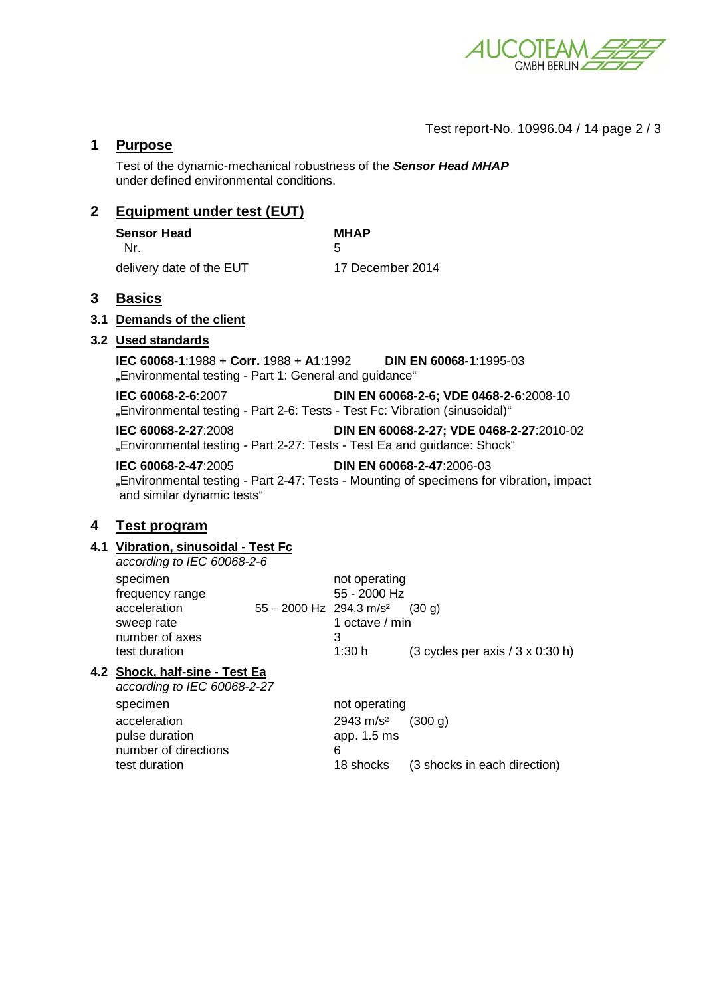

Test report-No. 10996.04 / 14 page 2 / 3

# **1 Purpose**

Test of the dynamic-mechanical robustness of the *Sensor Head MHAP* under defined environmental conditions.

# **2 Equipment under test (EUT)**

| <b>Sensor Head</b>       | <b>MHAP</b>      |
|--------------------------|------------------|
| Nr.                      |                  |
| delivery date of the EUT | 17 December 2014 |

### **3 Basics**

#### **3.1 Demands of the client**

#### **3.2 Used standards**

**IEC 60068-1**:1988 + **Corr.** 1988 + **A1**:1992 **DIN EN 60068-1**:1995-03 "Environmental testing - Part 1: General and guidance"

**IEC 60068-2-6**:2007 **DIN EN 60068-2-6; VDE 0468-2-6**:2008-10 "Environmental testing - Part 2-6: Tests - Test Fc: Vibration (sinusoidal)"

**IEC 60068-2-27**:2008 **DIN EN 60068-2-27; VDE 0468-2-27**:2010-02 "Environmental testing - Part 2-27: Tests - Test Ea and guidance: Shock"

**IEC 60068-2-47**:2005 **DIN EN 60068-2-47**:2006-03 "Environmental testing - Part 2-47: Tests - Mounting of specimens for vibration, impact and similar dynamic tests"

# **4 Test program**

#### **4.1 Vibration, sinusoidal - Test Fc**

| according to IEC 60068-2-6                                                                   |                                       |                                                               |                                                                             |
|----------------------------------------------------------------------------------------------|---------------------------------------|---------------------------------------------------------------|-----------------------------------------------------------------------------|
| specimen<br>frequency range<br>acceleration<br>sweep rate<br>number of axes<br>test duration | $55 - 2000$ Hz 294.3 m/s <sup>2</sup> | not operating<br>55 - 2000 Hz<br>1 octave / min<br>3<br>1:30h | $(30 \text{ a})$<br>$(3 \text{ cycles per axis} / 3 \times 0.30 \text{ h})$ |
|                                                                                              |                                       |                                                               |                                                                             |

# **4.2 Shock, half-sine - Test Ea**

*according to IEC 60068-2-27*  specimen not operating acceleration 2943 m/s<sup>2</sup> (300 g) pulse duration app. 1.5 ms number of directions 6 test duration 18 shocks (3 shocks in each direction)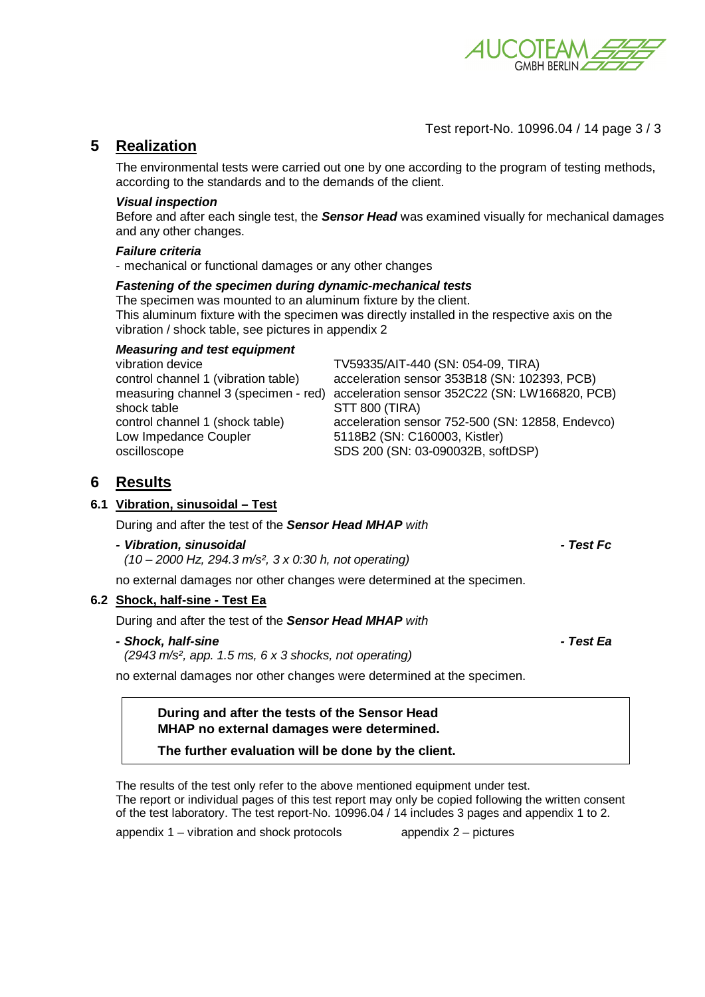

# Test report-No. 10996.04 / 14 page 3 / 3

# **5 Realization**

The environmental tests were carried out one by one according to the program of testing methods, according to the standards and to the demands of the client.

#### *Visual inspection*

Before and after each single test, the *Sensor Head* was examined visually for mechanical damages and any other changes.

#### *Failure criteria*

- mechanical or functional damages or any other changes

#### *Fastening of the specimen during dynamic-mechanical tests*

The specimen was mounted to an aluminum fixture by the client. This aluminum fixture with the specimen was directly installed in the respective axis on the vibration / shock table, see pictures in appendix 2

| TV59335/AIT-440 (SN: 054-09, TIRA)                                                     |
|----------------------------------------------------------------------------------------|
| acceleration sensor 353B18 (SN: 102393, PCB)                                           |
| acceleration sensor 352C22 (SN: LW166820, PCB)<br>measuring channel 3 (specimen - red) |
| STT 800 (TIRA)                                                                         |
| acceleration sensor 752-500 (SN: 12858, Endevco)                                       |
| 5118B2 (SN: C160003, Kistler)                                                          |
| SDS 200 (SN: 03-090032B, softDSP)                                                      |
|                                                                                        |

# **6 Results**

#### **6.1 Vibration, sinusoidal – Test**

During and after the test of the *Sensor Head MHAP with* 

*- Vibration, sinusoidal - Test Fc* 

 *(10 – 2000 Hz, 294.3 m/s², 3 x 0:30 h, not operating)* 

no external damages nor other changes were determined at the specimen.

#### **6.2 Shock, half-sine - Test Ea**

During and after the test of the *Sensor Head MHAP with* 

#### *- Shock, half-sine - Test Ea*

 *(2943 m/s², app. 1.5 ms, 6 x 3 shocks, not operating)* 

no external damages nor other changes were determined at the specimen.

# **During and after the tests of the Sensor Head MHAP no external damages were determined.**

**The further evaluation will be done by the client.**

The results of the test only refer to the above mentioned equipment under test. The report or individual pages of this test report may only be copied following the written consent of the test laboratory. The test report-No. 10996.04 / 14 includes 3 pages and appendix 1 to 2.

appendix 1 – vibration and shock protocols appendix 2 – pictures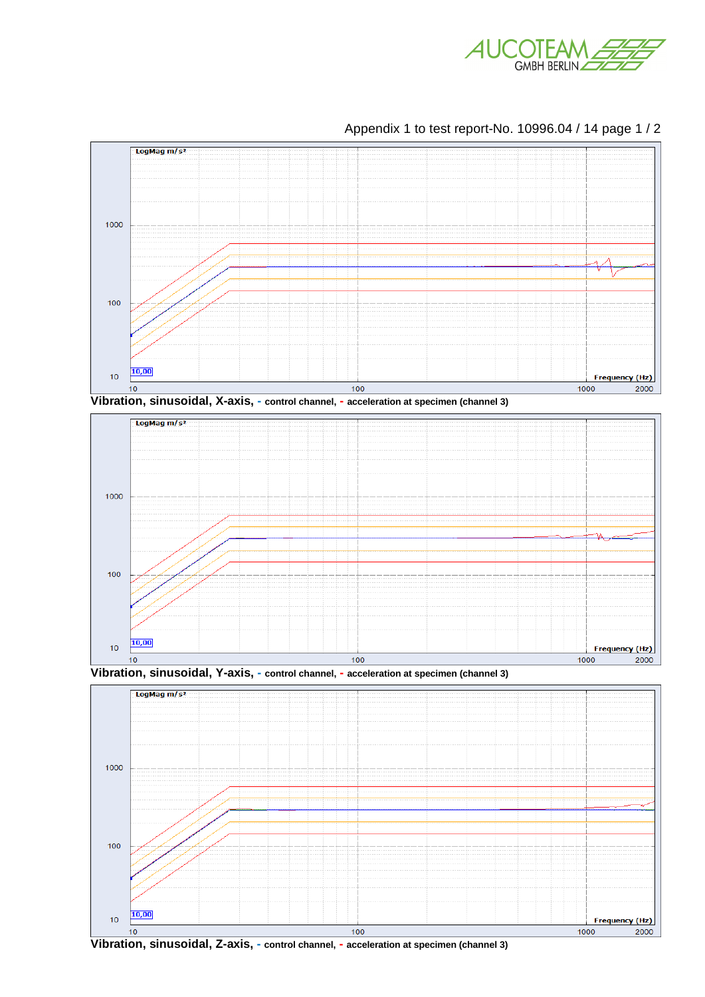













**Vibration, sinusoidal, Z-axis, - control channel, - acceleration at specimen (channel 3)**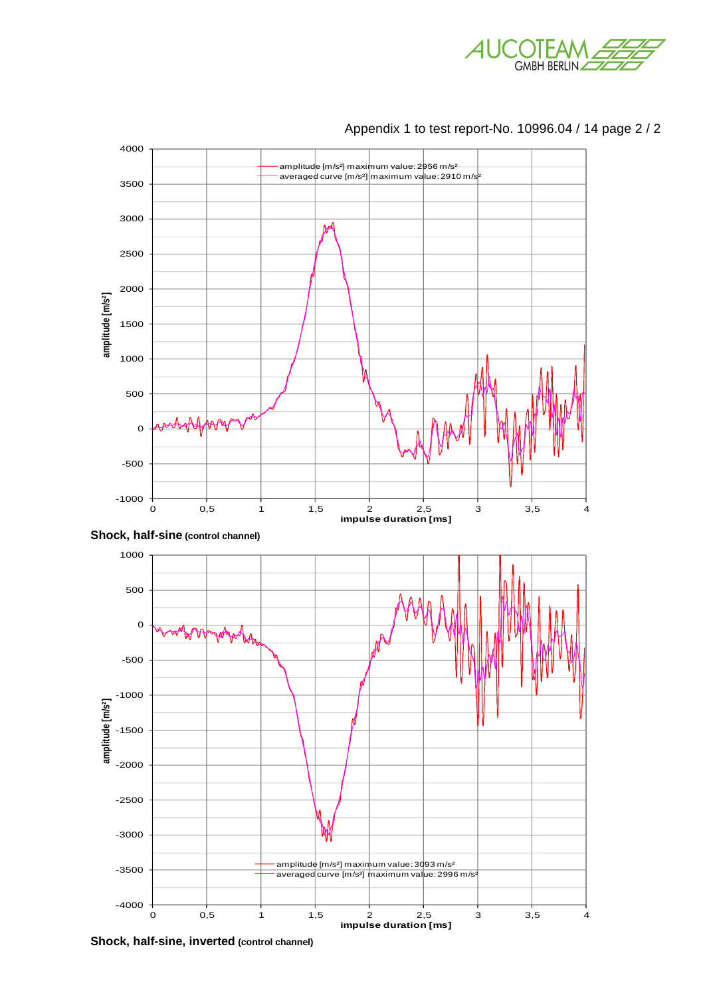



Appendix 1 to test report-No. 10996.04 / 14 page 2 / 2

**Shock, half-sine, inverted (control channel)**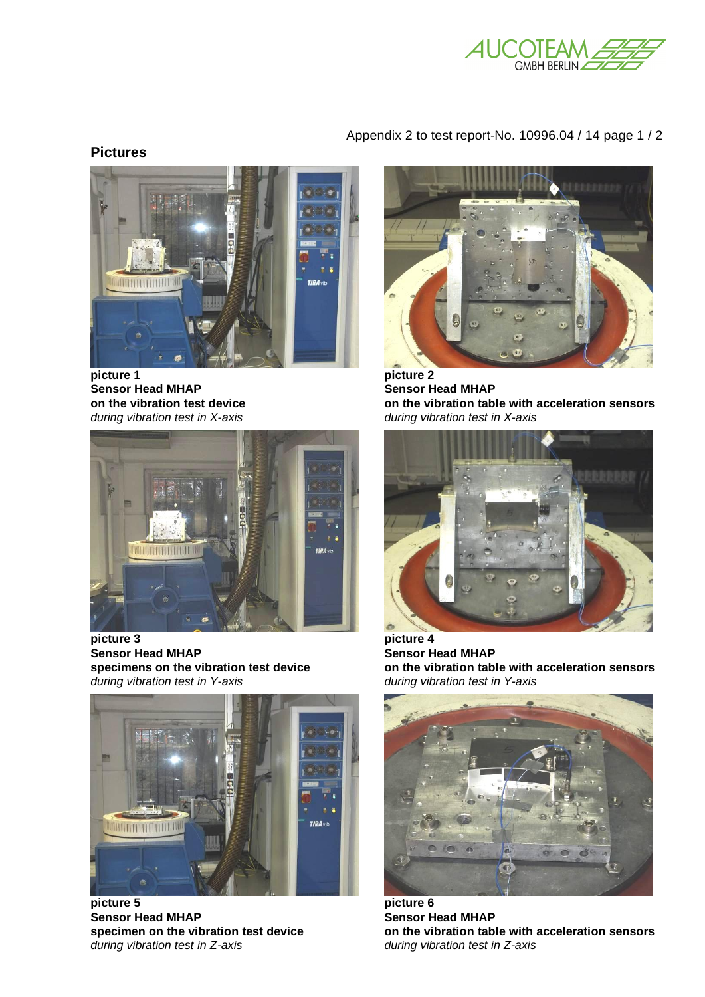

# Appendix 2 to test report-No. 10996.04 / 14 page 1 / 2

# **Pictures**



**Sensor Head MHAP** Sensor Head MHAP *during vibration test in X-axis during vibration test in X-axis* 



picture 3 picture 4<br>
Sensor Head MHAP **1996** Sensor H **Sensor Head MHAP**<br>specimens on the vibration test device<br>on the vibration tab *during vibration test in Y-axis during vibration test in Y-axis* 



**picture 5 picture 6 Sensor Head MHAP** Sensor Head MHAP *during vibration test in Z-axis during vibration test in Z-axis*



**on the vibration test device on the vibration table with acceleration sensors** 



**space on the vibration table with acceleration sensors** *during vibration test in Y-axis* 



specimen on the vibration test device **on the vibration table with acceleration sensors**